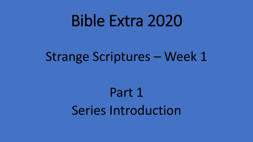# Bible Extra 2020

## Strange Scriptures – Week 1

## Part 1 Series Introduction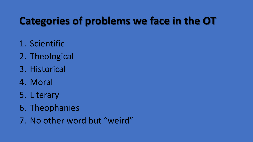### **Categories of problems we face in the OT**

- 1. Scientific
- 2. Theological
- 3. Historical
- 4. Moral
- 5. Literary
- 6. Theophanies
- 7. No other word but "weird"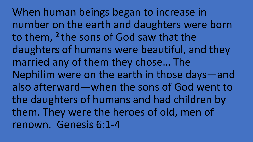When human beings began to increase in number on the earth and daughters were born to them, <sup>2</sup> the sons of God saw that the daughters of humans were beautiful, and they married any of them they chose… The Nephilim were on the earth in those days—and also afterward—when the sons of God went to the daughters of humans and had children by them. They were the heroes of old, men of renown. Genesis 6:1-4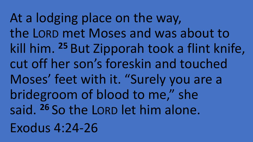At a lodging place on the way, the LORD met Moses and was about to kill him. **<sup>25</sup>** But Zipporah took a flint knife, cut off her son's foreskin and touched Moses' feet with it. "Surely you are a bridegroom of blood to me," she said. **<sup>26</sup>** So the LORD let him alone. Exodus 4:24-26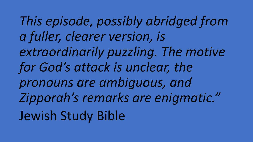*This episode, possibly abridged from a fuller, clearer version, is extraordinarily puzzling. The motive for God's attack is unclear, the pronouns are ambiguous, and Zipporah's remarks are enigmatic."* Jewish Study Bible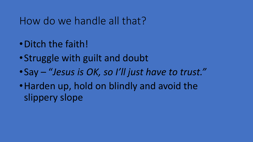### How do we handle all that?

- •Ditch the faith!
- •Struggle with guilt and doubt
- •Say "*Jesus is OK, so I'll just have to trust."*
- •Harden up, hold on blindly and avoid the slippery slope